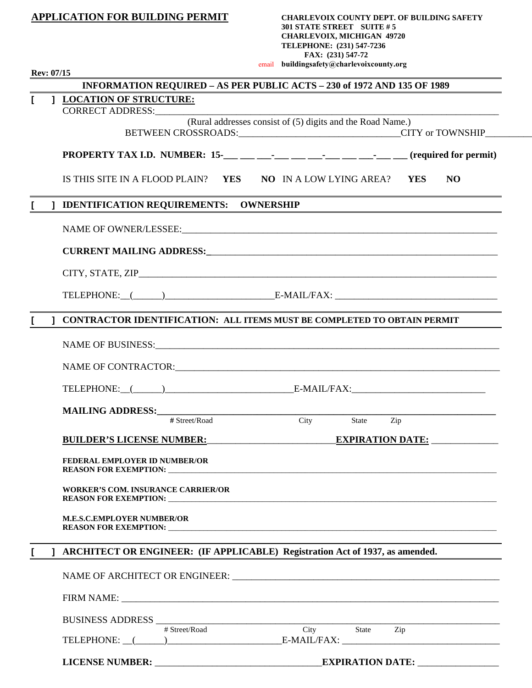|              | <b>APPLICATION FOR BUILDING PERMIT</b>                                                                                                                                                                                         | <b>CHARLEVOIX COUNTY DEPT. OF BUILDING SAFETY</b><br>301 STATE STREET SUITE #5<br><b>CHARLEVOIX, MICHIGAN 49720</b><br>TELEPHONE: (231) 547-7236<br>FAX: (231) 547-72 |           |
|--------------|--------------------------------------------------------------------------------------------------------------------------------------------------------------------------------------------------------------------------------|-----------------------------------------------------------------------------------------------------------------------------------------------------------------------|-----------|
| Rev: 07/15   |                                                                                                                                                                                                                                | email buildingsafety@charlevoixcounty.org                                                                                                                             |           |
|              | INFORMATION REQUIRED - AS PER PUBLIC ACTS - 230 of 1972 AND 135 OF 1989                                                                                                                                                        |                                                                                                                                                                       |           |
| $\mathbf{I}$ | <b>J LOCATION OF STRUCTURE:</b><br>CORRECT ADDRESS:                                                                                                                                                                            |                                                                                                                                                                       |           |
|              |                                                                                                                                                                                                                                | (Rural addresses consist of (5) digits and the Road Name.)                                                                                                            |           |
|              |                                                                                                                                                                                                                                |                                                                                                                                                                       |           |
|              | IS THIS SITE IN A FLOOD PLAIN? YES NO IN A LOW LYING AREA? YES                                                                                                                                                                 |                                                                                                                                                                       | <b>NO</b> |
|              | ] IDENTIFICATION REQUIREMENTS: OWNERSHIP                                                                                                                                                                                       |                                                                                                                                                                       |           |
|              |                                                                                                                                                                                                                                |                                                                                                                                                                       |           |
|              |                                                                                                                                                                                                                                |                                                                                                                                                                       |           |
|              |                                                                                                                                                                                                                                |                                                                                                                                                                       |           |
|              |                                                                                                                                                                                                                                |                                                                                                                                                                       |           |
| L            | ] CONTRACTOR IDENTIFICATION: ALL ITEMS MUST BE COMPLETED TO OBTAIN PERMIT                                                                                                                                                      |                                                                                                                                                                       |           |
|              |                                                                                                                                                                                                                                |                                                                                                                                                                       |           |
|              |                                                                                                                                                                                                                                |                                                                                                                                                                       |           |
|              | TELEPHONE: (Contract Contract Contract Contract Contract Contract Contract Contract Contract Contract Contract Contract Contract Contract Contract Contract Contract Contract Contract Contract Contract Contract Contract Con |                                                                                                                                                                       |           |
|              |                                                                                                                                                                                                                                |                                                                                                                                                                       |           |
|              | # Street/Road                                                                                                                                                                                                                  | City State Zip                                                                                                                                                        |           |
|              | BUILDER'S LICENSE NUMBER: EXPIRATION DATE:                                                                                                                                                                                     |                                                                                                                                                                       |           |
|              | <b>FEDERAL EMPLOYER ID NUMBER/OR</b>                                                                                                                                                                                           |                                                                                                                                                                       |           |
|              | <b>WORKER'S COM. INSURANCE CARRIER/OR</b>                                                                                                                                                                                      |                                                                                                                                                                       |           |
|              | <b>M.E.S.C.EMPLOYER NUMBER/OR</b>                                                                                                                                                                                              |                                                                                                                                                                       |           |
| L            | ] ARCHITECT OR ENGINEER: (IF APPLICABLE) Registration Act of 1937, as amended.                                                                                                                                                 |                                                                                                                                                                       |           |
|              |                                                                                                                                                                                                                                |                                                                                                                                                                       |           |
|              |                                                                                                                                                                                                                                |                                                                                                                                                                       |           |
|              | BUSINESS ADDRESS<br>$+$ Street/Road City State Zip                                                                                                                                                                             |                                                                                                                                                                       |           |
|              | TELEPHONE: (Contract Contract Contract Contract Contract Contract Contract Contract Contract Contract Contract Contract Contract Contract Contract Contract Contract Contract Contract Contract Contract Contract Contract Con |                                                                                                                                                                       |           |
|              |                                                                                                                                                                                                                                |                                                                                                                                                                       |           |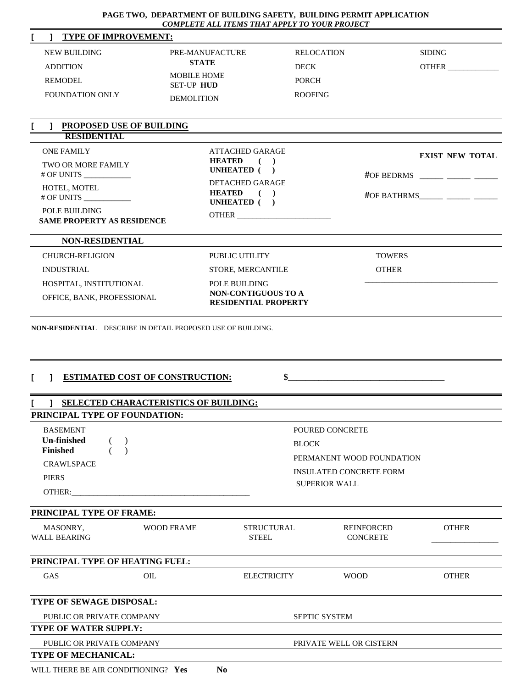## **PAGE TWO, DEPARTMENT OF BUILDING SAFETY, BUILDING PERMIT APPLICATION**  *COMPLETE ALL ITEMS THAT APPLY TO YOUR PROJECT*

| I<br><b>TYPE OF IMPROVEMENT:</b><br>1                                          |                                                                                                                                                                                                                                                                                                                                                                                                                                                                                                                                                                                                                                                                                                                                                                                                                                                                                                                                                                                      |                         |                                      |                        |
|--------------------------------------------------------------------------------|--------------------------------------------------------------------------------------------------------------------------------------------------------------------------------------------------------------------------------------------------------------------------------------------------------------------------------------------------------------------------------------------------------------------------------------------------------------------------------------------------------------------------------------------------------------------------------------------------------------------------------------------------------------------------------------------------------------------------------------------------------------------------------------------------------------------------------------------------------------------------------------------------------------------------------------------------------------------------------------|-------------------------|--------------------------------------|------------------------|
| <b>NEW BUILDING</b>                                                            | PRE-MANUFACTURE                                                                                                                                                                                                                                                                                                                                                                                                                                                                                                                                                                                                                                                                                                                                                                                                                                                                                                                                                                      | <b>RELOCATION</b>       |                                      |                        |
| <b>ADDITION</b>                                                                | <b>STATE</b>                                                                                                                                                                                                                                                                                                                                                                                                                                                                                                                                                                                                                                                                                                                                                                                                                                                                                                                                                                         | <b>DECK</b>             |                                      | <b>OTHER</b>           |
| <b>REMODEL</b>                                                                 | <b>MOBILE HOME</b>                                                                                                                                                                                                                                                                                                                                                                                                                                                                                                                                                                                                                                                                                                                                                                                                                                                                                                                                                                   | <b>PORCH</b>            |                                      |                        |
| <b>FOUNDATION ONLY</b>                                                         |                                                                                                                                                                                                                                                                                                                                                                                                                                                                                                                                                                                                                                                                                                                                                                                                                                                                                                                                                                                      | <b>ROOFING</b>          |                                      |                        |
|                                                                                | <b>SIDING</b><br><b>SET-UP HUD</b><br><b>DEMOLITION</b><br>ATTACHED GARAGE<br><b>HEATED</b><br>(<br>UNHEATED ()<br>#OF BEDRMS $\frac{1}{2}$ $\frac{1}{2}$ $\frac{1}{2}$ $\frac{1}{2}$ $\frac{1}{2}$<br><b>DETACHED GARAGE</b><br><b>HEATED</b><br>(<br>#OF BATHRMS______ _____ _____<br>UNHEATED ()<br>OTHER THE CONTRACT OF THE CONTRACT OF THE CONTRACT OF THE CONTRACT OF THE CONTRACT OF THE CONTRACT OF THE CONTRACT OF THE CONTRACT OF THE CONTRACT OF THE CONTRACT OF THE CONTRACT OF THE CONTRACT OF THE CONTRACT OF THE CONT<br>PUBLIC UTILITY<br><b>TOWERS</b><br><b>OTHER</b><br>STORE, MERCANTILE<br>POLE BUILDING<br>NON-CONTIGUOUS TO A<br><b>RESIDENTIAL PROPERTY</b><br>NON-RESIDENTIAL DESCRIBE IN DETAIL PROPOSED USE OF BUILDING.<br>$\sim$<br><b>ESTIMATED COST OF CONSTRUCTION:</b><br><b>J SELECTED CHARACTERISTICS OF BUILDING:</b><br>POURED CONCRETE<br><b>BLOCK</b><br>PERMANENT WOOD FOUNDATION<br><b>INSULATED CONCRETE FORM</b><br><b>SUPERIOR WALL</b> |                         |                                      |                        |
| <b>PROPOSED USE OF BUILDING</b>                                                |                                                                                                                                                                                                                                                                                                                                                                                                                                                                                                                                                                                                                                                                                                                                                                                                                                                                                                                                                                                      |                         |                                      |                        |
| RESIDENTAL                                                                     |                                                                                                                                                                                                                                                                                                                                                                                                                                                                                                                                                                                                                                                                                                                                                                                                                                                                                                                                                                                      |                         |                                      |                        |
| <b>ONE FAMILY</b>                                                              |                                                                                                                                                                                                                                                                                                                                                                                                                                                                                                                                                                                                                                                                                                                                                                                                                                                                                                                                                                                      |                         |                                      | <b>EXIST NEW TOTAL</b> |
| <b>TWO OR MORE FAMILY</b><br>$#$ OF UNITS $\_\_\_\_\_\_\_\_\_\_\_\_\_\_\_\_\_$ |                                                                                                                                                                                                                                                                                                                                                                                                                                                                                                                                                                                                                                                                                                                                                                                                                                                                                                                                                                                      |                         |                                      |                        |
| HOTEL, MOTEL                                                                   |                                                                                                                                                                                                                                                                                                                                                                                                                                                                                                                                                                                                                                                                                                                                                                                                                                                                                                                                                                                      |                         |                                      |                        |
| $#$ OF UNITS $\_\_\_\_\_\_\_\_\_\_\_\_\_\_\_\_\_$                              |                                                                                                                                                                                                                                                                                                                                                                                                                                                                                                                                                                                                                                                                                                                                                                                                                                                                                                                                                                                      |                         |                                      |                        |
| POLE BUILDING<br><b>SAME PROPERTY AS RESIDENCE</b>                             |                                                                                                                                                                                                                                                                                                                                                                                                                                                                                                                                                                                                                                                                                                                                                                                                                                                                                                                                                                                      |                         |                                      |                        |
| <b>NON-RESIDENTIAL</b>                                                         |                                                                                                                                                                                                                                                                                                                                                                                                                                                                                                                                                                                                                                                                                                                                                                                                                                                                                                                                                                                      |                         |                                      |                        |
| <b>CHURCH-RELIGION</b>                                                         |                                                                                                                                                                                                                                                                                                                                                                                                                                                                                                                                                                                                                                                                                                                                                                                                                                                                                                                                                                                      |                         |                                      |                        |
| <b>INDUSTRIAL</b>                                                              |                                                                                                                                                                                                                                                                                                                                                                                                                                                                                                                                                                                                                                                                                                                                                                                                                                                                                                                                                                                      |                         |                                      |                        |
| HOSPITAL, INSTITUTIONAL                                                        |                                                                                                                                                                                                                                                                                                                                                                                                                                                                                                                                                                                                                                                                                                                                                                                                                                                                                                                                                                                      |                         |                                      |                        |
| OFFICE, BANK, PROFESSIONAL                                                     |                                                                                                                                                                                                                                                                                                                                                                                                                                                                                                                                                                                                                                                                                                                                                                                                                                                                                                                                                                                      |                         |                                      |                        |
| L<br>T                                                                         |                                                                                                                                                                                                                                                                                                                                                                                                                                                                                                                                                                                                                                                                                                                                                                                                                                                                                                                                                                                      |                         |                                      |                        |
| PRINCIPAL TYPE OF FOUNDATION:                                                  |                                                                                                                                                                                                                                                                                                                                                                                                                                                                                                                                                                                                                                                                                                                                                                                                                                                                                                                                                                                      |                         |                                      |                        |
| <b>BASEMENT</b>                                                                |                                                                                                                                                                                                                                                                                                                                                                                                                                                                                                                                                                                                                                                                                                                                                                                                                                                                                                                                                                                      |                         |                                      |                        |
| <b>Un-finished</b>                                                             |                                                                                                                                                                                                                                                                                                                                                                                                                                                                                                                                                                                                                                                                                                                                                                                                                                                                                                                                                                                      |                         |                                      |                        |
| <b>Finished</b><br><b>CRAWLSPACE</b>                                           |                                                                                                                                                                                                                                                                                                                                                                                                                                                                                                                                                                                                                                                                                                                                                                                                                                                                                                                                                                                      |                         |                                      |                        |
| <b>PIERS</b>                                                                   |                                                                                                                                                                                                                                                                                                                                                                                                                                                                                                                                                                                                                                                                                                                                                                                                                                                                                                                                                                                      |                         |                                      |                        |
|                                                                                |                                                                                                                                                                                                                                                                                                                                                                                                                                                                                                                                                                                                                                                                                                                                                                                                                                                                                                                                                                                      |                         |                                      |                        |
|                                                                                |                                                                                                                                                                                                                                                                                                                                                                                                                                                                                                                                                                                                                                                                                                                                                                                                                                                                                                                                                                                      |                         |                                      |                        |
| PRINCIPAL TYPE OF FRAME:                                                       |                                                                                                                                                                                                                                                                                                                                                                                                                                                                                                                                                                                                                                                                                                                                                                                                                                                                                                                                                                                      |                         |                                      |                        |
| MASONRY,<br><b>WALL BEARING</b>                                                | <b>WOOD FRAME</b><br>STRUCTURAL<br><b>STEEL</b>                                                                                                                                                                                                                                                                                                                                                                                                                                                                                                                                                                                                                                                                                                                                                                                                                                                                                                                                      |                         | <b>REINFORCED</b><br><b>CONCRETE</b> | <b>OTHER</b>           |
| PRINCIPAL TYPE OF HEATING FUEL:                                                |                                                                                                                                                                                                                                                                                                                                                                                                                                                                                                                                                                                                                                                                                                                                                                                                                                                                                                                                                                                      |                         |                                      |                        |
| GAS<br>OIL                                                                     | <b>ELECTRICITY</b>                                                                                                                                                                                                                                                                                                                                                                                                                                                                                                                                                                                                                                                                                                                                                                                                                                                                                                                                                                   | <b>WOOD</b>             |                                      | <b>OTHER</b>           |
| TYPE OF SEWAGE DISPOSAL:                                                       |                                                                                                                                                                                                                                                                                                                                                                                                                                                                                                                                                                                                                                                                                                                                                                                                                                                                                                                                                                                      |                         |                                      |                        |
| PUBLIC OR PRIVATE COMPANY                                                      |                                                                                                                                                                                                                                                                                                                                                                                                                                                                                                                                                                                                                                                                                                                                                                                                                                                                                                                                                                                      | <b>SEPTIC SYSTEM</b>    |                                      |                        |
| <b>TYPE OF WATER SUPPLY:</b>                                                   |                                                                                                                                                                                                                                                                                                                                                                                                                                                                                                                                                                                                                                                                                                                                                                                                                                                                                                                                                                                      |                         |                                      |                        |
| PUBLIC OR PRIVATE COMPANY                                                      |                                                                                                                                                                                                                                                                                                                                                                                                                                                                                                                                                                                                                                                                                                                                                                                                                                                                                                                                                                                      | PRIVATE WELL OR CISTERN |                                      |                        |
| <b>TYPE OF MECHANICAL:</b>                                                     |                                                                                                                                                                                                                                                                                                                                                                                                                                                                                                                                                                                                                                                                                                                                                                                                                                                                                                                                                                                      |                         |                                      |                        |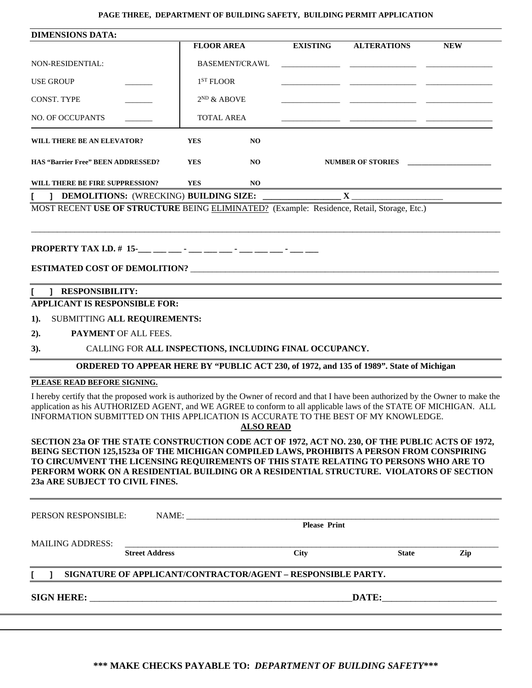## **PAGE THREE, DEPARTMENT OF BUILDING SAFETY, BUILDING PERMIT APPLICATION**

| <b>DIMENSIONS DATA:</b>                                                                                                                                                                                                                                                                                                                                                                                                                                                                                                                                                                                                                                                                                                                                                                                                                                                                                                                                                                                                                                                                                                                                                                                                                                                                                                                                                                                                                                                                                                                                                                                         |            |           |                 |                    |            |
|-----------------------------------------------------------------------------------------------------------------------------------------------------------------------------------------------------------------------------------------------------------------------------------------------------------------------------------------------------------------------------------------------------------------------------------------------------------------------------------------------------------------------------------------------------------------------------------------------------------------------------------------------------------------------------------------------------------------------------------------------------------------------------------------------------------------------------------------------------------------------------------------------------------------------------------------------------------------------------------------------------------------------------------------------------------------------------------------------------------------------------------------------------------------------------------------------------------------------------------------------------------------------------------------------------------------------------------------------------------------------------------------------------------------------------------------------------------------------------------------------------------------------------------------------------------------------------------------------------------------|------------|-----------|-----------------|--------------------|------------|
|                                                                                                                                                                                                                                                                                                                                                                                                                                                                                                                                                                                                                                                                                                                                                                                                                                                                                                                                                                                                                                                                                                                                                                                                                                                                                                                                                                                                                                                                                                                                                                                                                 |            |           | <b>EXISTING</b> | <b>ALTERATIONS</b> | <b>NEW</b> |
| NON-RESIDENTIAL:                                                                                                                                                                                                                                                                                                                                                                                                                                                                                                                                                                                                                                                                                                                                                                                                                                                                                                                                                                                                                                                                                                                                                                                                                                                                                                                                                                                                                                                                                                                                                                                                |            |           |                 |                    |            |
| <b>USE GROUP</b>                                                                                                                                                                                                                                                                                                                                                                                                                                                                                                                                                                                                                                                                                                                                                                                                                                                                                                                                                                                                                                                                                                                                                                                                                                                                                                                                                                                                                                                                                                                                                                                                |            |           |                 |                    |            |
| <b>CONST. TYPE</b>                                                                                                                                                                                                                                                                                                                                                                                                                                                                                                                                                                                                                                                                                                                                                                                                                                                                                                                                                                                                                                                                                                                                                                                                                                                                                                                                                                                                                                                                                                                                                                                              |            |           |                 |                    |            |
| <b>NO. OF OCCUPANTS</b>                                                                                                                                                                                                                                                                                                                                                                                                                                                                                                                                                                                                                                                                                                                                                                                                                                                                                                                                                                                                                                                                                                                                                                                                                                                                                                                                                                                                                                                                                                                                                                                         |            |           |                 |                    |            |
| WILL THERE BE AN ELEVATOR?                                                                                                                                                                                                                                                                                                                                                                                                                                                                                                                                                                                                                                                                                                                                                                                                                                                                                                                                                                                                                                                                                                                                                                                                                                                                                                                                                                                                                                                                                                                                                                                      | <b>YES</b> | <b>NO</b> |                 |                    |            |
| HAS "Barrier Free" BEEN ADDRESSED?                                                                                                                                                                                                                                                                                                                                                                                                                                                                                                                                                                                                                                                                                                                                                                                                                                                                                                                                                                                                                                                                                                                                                                                                                                                                                                                                                                                                                                                                                                                                                                              | <b>YES</b> | NO.       |                 |                    |            |
| WILL THERE BE FIRE SUPPRESSION?                                                                                                                                                                                                                                                                                                                                                                                                                                                                                                                                                                                                                                                                                                                                                                                                                                                                                                                                                                                                                                                                                                                                                                                                                                                                                                                                                                                                                                                                                                                                                                                 | <b>YES</b> | NO.       |                 |                    |            |
|                                                                                                                                                                                                                                                                                                                                                                                                                                                                                                                                                                                                                                                                                                                                                                                                                                                                                                                                                                                                                                                                                                                                                                                                                                                                                                                                                                                                                                                                                                                                                                                                                 |            |           |                 |                    |            |
|                                                                                                                                                                                                                                                                                                                                                                                                                                                                                                                                                                                                                                                                                                                                                                                                                                                                                                                                                                                                                                                                                                                                                                                                                                                                                                                                                                                                                                                                                                                                                                                                                 |            |           |                 |                    |            |
|                                                                                                                                                                                                                                                                                                                                                                                                                                                                                                                                                                                                                                                                                                                                                                                                                                                                                                                                                                                                                                                                                                                                                                                                                                                                                                                                                                                                                                                                                                                                                                                                                 |            |           |                 |                    |            |
| <b>FLOOR AREA</b><br><b>BASEMENT/CRAWL</b><br>1 <sup>ST</sup> FLOOR<br>$2^{ND}$ & ABOVE<br><u> 1980 - Johann Barn, mars et al. (b. 1980)</u><br><b>TOTAL AREA</b><br>NUMBER OF STORIES<br>] DEMOLITIONS: (WRECKING) BUILDING SIZE:<br>$\mathbf{X}$<br>MOST RECENT USE OF STRUCTURE BEING ELIMINATED? (Example: Residence, Retail, Storage, Etc.)<br><b>ESTIMATED COST OF DEMOLITION?</b><br><b>RESPONSIBILITY:</b><br>L<br><b>APPLICANT IS RESPONSIBLE FOR:</b><br>SUBMITTING ALL REQUIREMENTS:<br>PAYMENT OF ALL FEES.<br>CALLING FOR ALL INSPECTIONS, INCLUDING FINAL OCCUPANCY.<br>$3)$ .<br>ORDERED TO APPEAR HERE BY "PUBLIC ACT 230, of 1972, and 135 of 1989". State of Michigan<br>I hereby certify that the proposed work is authorized by the Owner of record and that I have been authorized by the Owner to make the<br>application as his AUTHORIZED AGENT, and WE AGREE to conform to all applicable laws of the STATE OF MICHIGAN. ALL<br>INFORMATION SUBMITTED ON THIS APPLICATION IS ACCURATE TO THE BEST OF MY KNOWLEDGE.<br><b>ALSO READ</b><br>SECTION 23a OF THE STATE CONSTRUCTION CODE ACT OF 1972, ACT NO. 230, OF THE PUBLIC ACTS OF 1972,<br>BEING SECTION 125,1523a OF THE MICHIGAN COMPILED LAWS, PROHIBITS A PERSON FROM CONSPIRING<br>TO CIRCUMVENT THE LICENSING REQUIREMENTS OF THIS STATE RELATING TO PERSONS WHO ARE TO<br>PERFORM WORK ON A RESIDENTIAL BUILDING OR A RESIDENTIAL STRUCTURE. VIOLATORS OF SECTION<br>NAME: Please Print<br><b>Street Address</b><br><b>City</b><br><b>State</b><br>Zip<br>SIGNATURE OF APPLICANT/CONTRACTOR/AGENT - RESPONSIBLE PARTY.<br>1. |            |           |                 |                    |            |
|                                                                                                                                                                                                                                                                                                                                                                                                                                                                                                                                                                                                                                                                                                                                                                                                                                                                                                                                                                                                                                                                                                                                                                                                                                                                                                                                                                                                                                                                                                                                                                                                                 |            |           |                 |                    |            |
| $1$ ).                                                                                                                                                                                                                                                                                                                                                                                                                                                                                                                                                                                                                                                                                                                                                                                                                                                                                                                                                                                                                                                                                                                                                                                                                                                                                                                                                                                                                                                                                                                                                                                                          |            |           |                 |                    |            |
| 2).                                                                                                                                                                                                                                                                                                                                                                                                                                                                                                                                                                                                                                                                                                                                                                                                                                                                                                                                                                                                                                                                                                                                                                                                                                                                                                                                                                                                                                                                                                                                                                                                             |            |           |                 |                    |            |
|                                                                                                                                                                                                                                                                                                                                                                                                                                                                                                                                                                                                                                                                                                                                                                                                                                                                                                                                                                                                                                                                                                                                                                                                                                                                                                                                                                                                                                                                                                                                                                                                                 |            |           |                 |                    |            |
|                                                                                                                                                                                                                                                                                                                                                                                                                                                                                                                                                                                                                                                                                                                                                                                                                                                                                                                                                                                                                                                                                                                                                                                                                                                                                                                                                                                                                                                                                                                                                                                                                 |            |           |                 |                    |            |
| PLEASE READ BEFORE SIGNING.                                                                                                                                                                                                                                                                                                                                                                                                                                                                                                                                                                                                                                                                                                                                                                                                                                                                                                                                                                                                                                                                                                                                                                                                                                                                                                                                                                                                                                                                                                                                                                                     |            |           |                 |                    |            |
|                                                                                                                                                                                                                                                                                                                                                                                                                                                                                                                                                                                                                                                                                                                                                                                                                                                                                                                                                                                                                                                                                                                                                                                                                                                                                                                                                                                                                                                                                                                                                                                                                 |            |           |                 |                    |            |
| 23a ARE SUBJECT TO CIVIL FINES.                                                                                                                                                                                                                                                                                                                                                                                                                                                                                                                                                                                                                                                                                                                                                                                                                                                                                                                                                                                                                                                                                                                                                                                                                                                                                                                                                                                                                                                                                                                                                                                 |            |           |                 |                    |            |
| PERSON RESPONSIBLE:                                                                                                                                                                                                                                                                                                                                                                                                                                                                                                                                                                                                                                                                                                                                                                                                                                                                                                                                                                                                                                                                                                                                                                                                                                                                                                                                                                                                                                                                                                                                                                                             |            |           |                 |                    |            |
|                                                                                                                                                                                                                                                                                                                                                                                                                                                                                                                                                                                                                                                                                                                                                                                                                                                                                                                                                                                                                                                                                                                                                                                                                                                                                                                                                                                                                                                                                                                                                                                                                 |            |           |                 |                    |            |
| <b>MAILING ADDRESS:</b>                                                                                                                                                                                                                                                                                                                                                                                                                                                                                                                                                                                                                                                                                                                                                                                                                                                                                                                                                                                                                                                                                                                                                                                                                                                                                                                                                                                                                                                                                                                                                                                         |            |           |                 |                    |            |
|                                                                                                                                                                                                                                                                                                                                                                                                                                                                                                                                                                                                                                                                                                                                                                                                                                                                                                                                                                                                                                                                                                                                                                                                                                                                                                                                                                                                                                                                                                                                                                                                                 |            |           |                 |                    |            |
|                                                                                                                                                                                                                                                                                                                                                                                                                                                                                                                                                                                                                                                                                                                                                                                                                                                                                                                                                                                                                                                                                                                                                                                                                                                                                                                                                                                                                                                                                                                                                                                                                 |            |           |                 |                    |            |
|                                                                                                                                                                                                                                                                                                                                                                                                                                                                                                                                                                                                                                                                                                                                                                                                                                                                                                                                                                                                                                                                                                                                                                                                                                                                                                                                                                                                                                                                                                                                                                                                                 |            |           |                 |                    |            |
|                                                                                                                                                                                                                                                                                                                                                                                                                                                                                                                                                                                                                                                                                                                                                                                                                                                                                                                                                                                                                                                                                                                                                                                                                                                                                                                                                                                                                                                                                                                                                                                                                 |            |           |                 |                    |            |